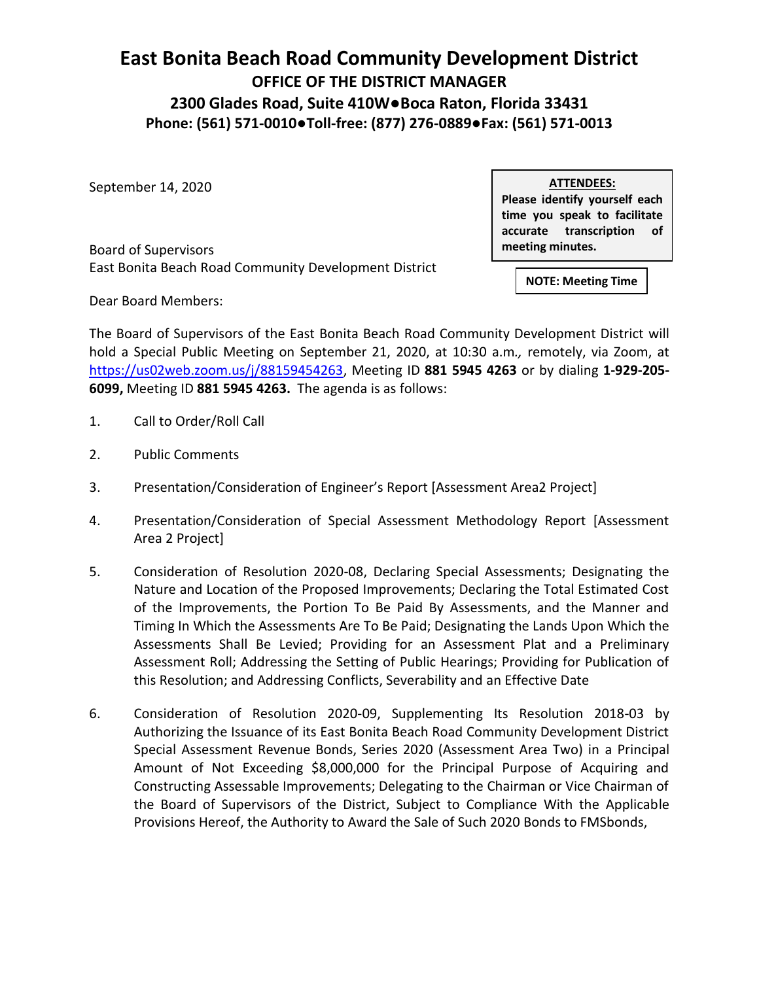## **East Bonita Beach Road Community Development District OFFICE OF THE DISTRICT MANAGER 2300 Glades Road, Suite 410W●Boca Raton, Florida 33431 Phone: (561) 571-0010●Toll-free: (877) 276-0889●Fax: (561) 571-0013**

September 14, 2020

**ATTENDEES:**

**Please identify yourself each time you speak to facilitate accurate transcription of meeting minutes.**

Board of Supervisors East Bonita Beach Road Community Development District

**NOTE: Meeting Time**

Dear Board Members:

The Board of Supervisors of the East Bonita Beach Road Community Development District will hold a Special Public Meeting on September 21, 2020, at 10:30 a.m*.,* remotely, via Zoom, at [https://us02web.zoom.us/j/88159454263,](https://us02web.zoom.us/j/88159454263) Meeting ID **881 5945 4263** or by dialing **1-929-205- 6099,** Meeting ID **881 5945 4263.** The agenda is as follows:

- 1. Call to Order/Roll Call
- 2. Public Comments
- 3. Presentation/Consideration of Engineer's Report [Assessment Area2 Project]
- 4. Presentation/Consideration of Special Assessment Methodology Report [Assessment Area 2 Project]
- 5. Consideration of Resolution 2020-08, Declaring Special Assessments; Designating the Nature and Location of the Proposed Improvements; Declaring the Total Estimated Cost of the Improvements, the Portion To Be Paid By Assessments, and the Manner and Timing In Which the Assessments Are To Be Paid; Designating the Lands Upon Which the Assessments Shall Be Levied; Providing for an Assessment Plat and a Preliminary Assessment Roll; Addressing the Setting of Public Hearings; Providing for Publication of this Resolution; and Addressing Conflicts, Severability and an Effective Date
- 6. Consideration of Resolution 2020-09, Supplementing Its Resolution 2018-03 by Authorizing the Issuance of its East Bonita Beach Road Community Development District Special Assessment Revenue Bonds, Series 2020 (Assessment Area Two) in a Principal Amount of Not Exceeding \$8,000,000 for the Principal Purpose of Acquiring and Constructing Assessable Improvements; Delegating to the Chairman or Vice Chairman of the Board of Supervisors of the District, Subject to Compliance With the Applicable Provisions Hereof, the Authority to Award the Sale of Such 2020 Bonds to FMSbonds,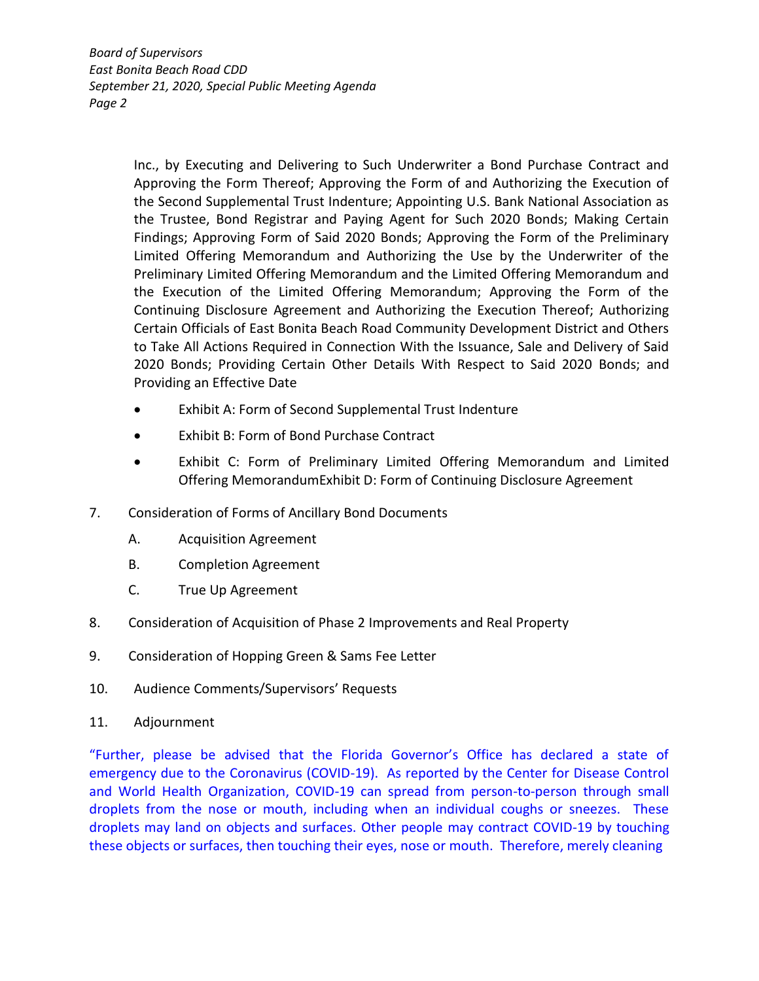*Board of Supervisors East Bonita Beach Road CDD September 21, 2020, Special Public Meeting Agenda Page 2*

> Inc., by Executing and Delivering to Such Underwriter a Bond Purchase Contract and Approving the Form Thereof; Approving the Form of and Authorizing the Execution of the Second Supplemental Trust Indenture; Appointing U.S. Bank National Association as the Trustee, Bond Registrar and Paying Agent for Such 2020 Bonds; Making Certain Findings; Approving Form of Said 2020 Bonds; Approving the Form of the Preliminary Limited Offering Memorandum and Authorizing the Use by the Underwriter of the Preliminary Limited Offering Memorandum and the Limited Offering Memorandum and the Execution of the Limited Offering Memorandum; Approving the Form of the Continuing Disclosure Agreement and Authorizing the Execution Thereof; Authorizing Certain Officials of East Bonita Beach Road Community Development District and Others to Take All Actions Required in Connection With the Issuance, Sale and Delivery of Said 2020 Bonds; Providing Certain Other Details With Respect to Said 2020 Bonds; and Providing an Effective Date

- Exhibit A: Form of Second Supplemental Trust Indenture
- Exhibit B: Form of Bond Purchase Contract
- Exhibit C: Form of Preliminary Limited Offering Memorandum and Limited Offering MemorandumExhibit D: Form of Continuing Disclosure Agreement
- 7. Consideration of Forms of Ancillary Bond Documents
	- A. Acquisition Agreement
	- B. Completion Agreement
	- C. True Up Agreement
- 8. Consideration of Acquisition of Phase 2 Improvements and Real Property
- 9. Consideration of Hopping Green & Sams Fee Letter
- 10. Audience Comments/Supervisors' Requests
- 11. Adjournment

"Further, please be advised that the Florida Governor's Office has declared a state of emergency due to the Coronavirus (COVID-19). As reported by the Center for Disease Control and World Health Organization, COVID-19 can spread from person-to-person through small droplets from the nose or mouth, including when an individual coughs or sneezes. These droplets may land on objects and surfaces. Other people may contract COVID-19 by touching these objects or surfaces, then touching their eyes, nose or mouth. Therefore, merely cleaning